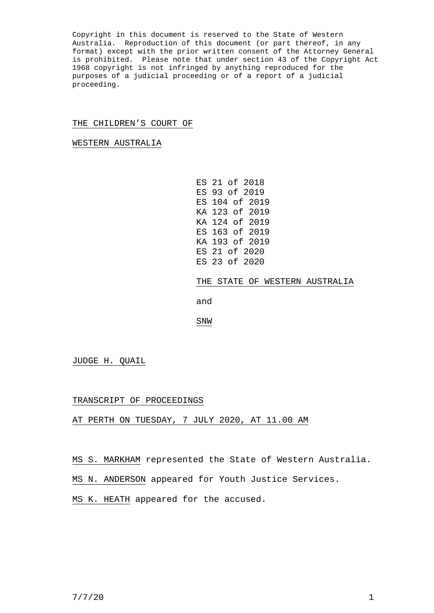Copyright in this document is reserved to the State of Western Australia. Reproduction of this document (or part thereof, in any format) except with the prior written consent of the Attorney General is prohibited. Please note that under section 43 of the Copyright Act 1968 copyright is not infringed by anything reproduced for the purposes of a judicial proceeding or of a report of a judicial proceeding.

## THE CHILDREN'S COURT OF

WESTERN AUSTRALIA

ES 21 of 2018 ES 93 of 2019 ES 104 of 2019 KA 123 of 2019 KA 124 of 2019 ES 163 of 2019 KA 193 of 2019 ES 21 of 2020 ES 23 of 2020

THE STATE OF WESTERN AUSTRALIA

and

SNW

JUDGE H. QUAIL

## TRANSCRIPT OF PROCEEDINGS

AT PERTH ON TUESDAY, 7 JULY 2020, AT 11.00 AM

MS S. MARKHAM represented the State of Western Australia.

MS N. ANDERSON appeared for Youth Justice Services.

MS K. HEATH appeared for the accused.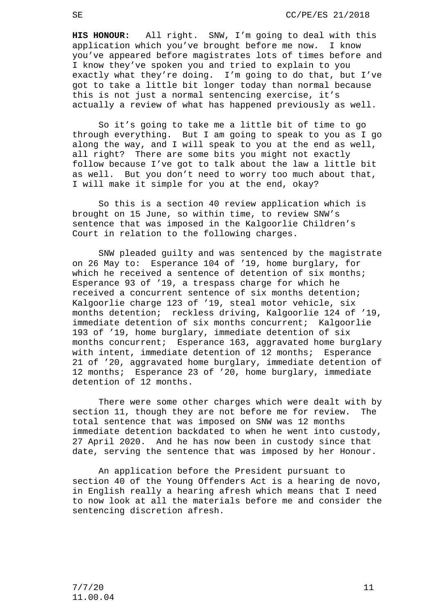**HIS HONOUR:** All right. SNW, I'm going to deal with this application which you've brought before me now. I know you've appeared before magistrates lots of times before and I know they've spoken you and tried to explain to you exactly what they're doing. I'm going to do that, but I've got to take a little bit longer today than normal because this is not just a normal sentencing exercise, it's actually a review of what has happened previously as well.

So it's going to take me a little bit of time to go through everything. But I am going to speak to you as I go along the way, and I will speak to you at the end as well, all right? There are some bits you might not exactly follow because I've got to talk about the law a little bit as well. But you don't need to worry too much about that, I will make it simple for you at the end, okay?

So this is a section 40 review application which is brought on 15 June, so within time, to review SNW's sentence that was imposed in the Kalgoorlie Children's Court in relation to the following charges.

SNW pleaded guilty and was sentenced by the magistrate on 26 May to: Esperance 104 of '19, home burglary, for which he received a sentence of detention of six months; Esperance 93 of '19, a trespass charge for which he received a concurrent sentence of six months detention; Kalgoorlie charge 123 of '19, steal motor vehicle, six months detention; reckless driving, Kalgoorlie 124 of '19, immediate detention of six months concurrent; Kalgoorlie 193 of '19, home burglary, immediate detention of six months concurrent; Esperance 163, aggravated home burglary with intent, immediate detention of 12 months; Esperance 21 of '20, aggravated home burglary, immediate detention of 12 months; Esperance 23 of '20, home burglary, immediate detention of 12 months.

There were some other charges which were dealt with by<br>on 11, though they are not before me for review. The section 11, though they are not before me for review. total sentence that was imposed on SNW was 12 months immediate detention backdated to when he went into custody, 27 April 2020. And he has now been in custody since that date, serving the sentence that was imposed by her Honour.

An application before the President pursuant to section 40 of the Young Offenders Act is a hearing de novo, in English really a hearing afresh which means that I need to now look at all the materials before me and consider the sentencing discretion afresh.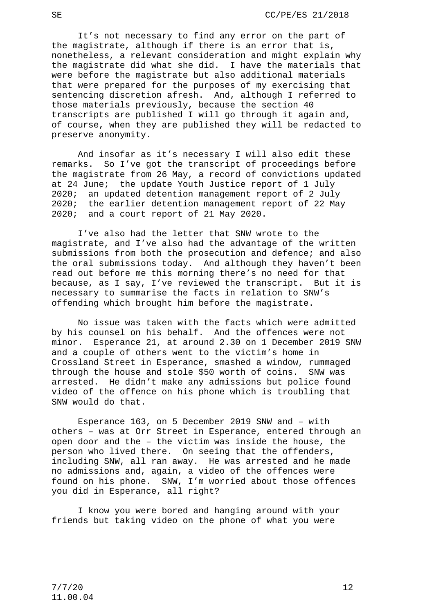It's not necessary to find any error on the part of the magistrate, although if there is an error that is, nonetheless, a relevant consideration and might explain why the magistrate did what she did. I have the materials that were before the magistrate but also additional materials that were prepared for the purposes of my exercising that sentencing discretion afresh. And, although I referred to those materials previously, because the section 40 transcripts are published I will go through it again and, of course, when they are published they will be redacted to preserve anonymity.

And insofar as it's necessary I will also edit these<br>remarks. So I've got the transcript of proceedings before So I've got the transcript of proceedings before the magistrate from 26 May, a record of convictions updated at 24 June; the update Youth Justice report of 1 July 2020; an updated detention management report of 2 July 2020; the earlier detention management report of 22 May 2020; and a court report of 21 May 2020.

I've also had the letter that SNW wrote to the magistrate, and I've also had the advantage of the written submissions from both the prosecution and defence; and also the oral submissions today. And although they haven't been read out before me this morning there's no need for that because, as I say, I've reviewed the transcript. But it is necessary to summarise the facts in relation to SNW's offending which brought him before the magistrate.

No issue was taken with the facts which were admitted by his counsel on his behalf. And the offences were not minor. Esperance 21, at around 2.30 on 1 December 2019 SNW and a couple of others went to the victim's home in Crossland Street in Esperance, smashed a window, rummaged through the house and stole \$50 worth of coins. SNW was arrested. He didn't make any admissions but police found video of the offence on his phone which is troubling that SNW would do that.

Esperance 163, on 5 December 2019 SNW and – with others – was at Orr Street in Esperance, entered through an open door and the – the victim was inside the house, the person who lived there. On seeing that the offenders, including SNW, all ran away. He was arrested and he made no admissions and, again, a video of the offences were found on his phone. SNW, I'm worried about those offences you did in Esperance, all right?

I know you were bored and hanging around with your friends but taking video on the phone of what you were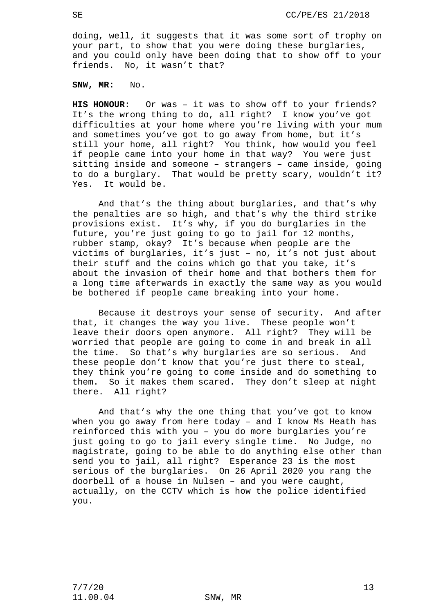doing, well, it suggests that it was some sort of trophy on your part, to show that you were doing these burglaries, and you could only have been doing that to show off to your friends. No, it wasn't that?

**SNW, MR:** No.

**HIS HONOUR:** Or was – it was to show off to your friends? It's the wrong thing to do, all right? I know you've got difficulties at your home where you're living with your mum and sometimes you've got to go away from home, but it's still your home, all right? You think, how would you feel if people came into your home in that way? You were just sitting inside and someone – strangers – came inside, going to do a burglary. That would be pretty scary, wouldn't it? Yes. It would be.

And that's the thing about burglaries, and that's why the penalties are so high, and that's why the third strike provisions exist. It's why, if you do burglaries in the future, you're just going to go to jail for 12 months, rubber stamp, okay? It's because when people are the victims of burglaries, it's just – no, it's not just about their stuff and the coins which go that you take, it's about the invasion of their home and that bothers them for a long time afterwards in exactly the same way as you would be bothered if people came breaking into your home.

Because it destroys your sense of security. And after that, it changes the way you live. These people won't leave their doors open anymore. All right? They will be worried that people are going to come in and break in all the time. So that's why burglaries are so serious. And these people don't know that you're just there to steal, they think you're going to come inside and do something to them. So it makes them scared. They don't sleep at night there. All right?

And that's why the one thing that you've got to know when you go away from here today – and I know Ms Heath has reinforced this with you – you do more burglaries you're just going to go to jail every single time. No Judge, no magistrate, going to be able to do anything else other than send you to jail, all right? Esperance 23 is the most serious of the burglaries. On 26 April 2020 you rang the doorbell of a house in Nulsen – and you were caught, actually, on the CCTV which is how the police identified you.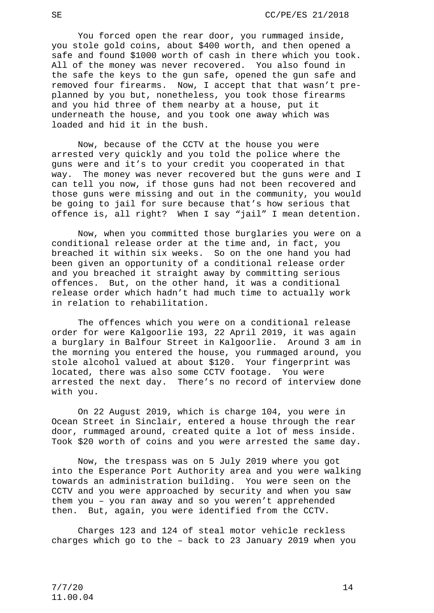You forced open the rear door, you rummaged inside, you stole gold coins, about \$400 worth, and then opened a safe and found \$1000 worth of cash in there which you took. All of the money was never recovered. You also found in the safe the keys to the gun safe, opened the gun safe and removed four firearms. Now, I accept that that wasn't preplanned by you but, nonetheless, you took those firearms and you hid three of them nearby at a house, put it underneath the house, and you took one away which was loaded and hid it in the bush.

Now, because of the CCTV at the house you were arrested very quickly and you told the police where the guns were and it's to your credit you cooperated in that way. The money was never recovered but the guns were and I can tell you now, if those guns had not been recovered and those guns were missing and out in the community, you would be going to jail for sure because that's how serious that offence is, all right? When I say "jail" I mean detention.

Now, when you committed those burglaries you were on a conditional release order at the time and, in fact, you breached it within six weeks. So on the one hand you had been given an opportunity of a conditional release order and you breached it straight away by committing serious offences. But, on the other hand, it was a conditional release order which hadn't had much time to actually work in relation to rehabilitation.

The offences which you were on a conditional release order for were Kalgoorlie 193, 22 April 2019, it was again a burglary in Balfour Street in Kalgoorlie. Around 3 am in the morning you entered the house, you rummaged around, you stole alcohol valued at about \$120. Your fingerprint was located, there was also some CCTV footage. You were arrested the next day. There's no record of interview done with you.

On 22 August 2019, which is charge 104, you were in Ocean Street in Sinclair, entered a house through the rear door, rummaged around, created quite a lot of mess inside. Took \$20 worth of coins and you were arrested the same day.

Now, the trespass was on 5 July 2019 where you got into the Esperance Port Authority area and you were walking towards an administration building. You were seen on the CCTV and you were approached by security and when you saw them you – you ran away and so you weren't apprehended then. But, again, you were identified from the CCTV.

Charges 123 and 124 of steal motor vehicle reckless charges which go to the – back to 23 January 2019 when you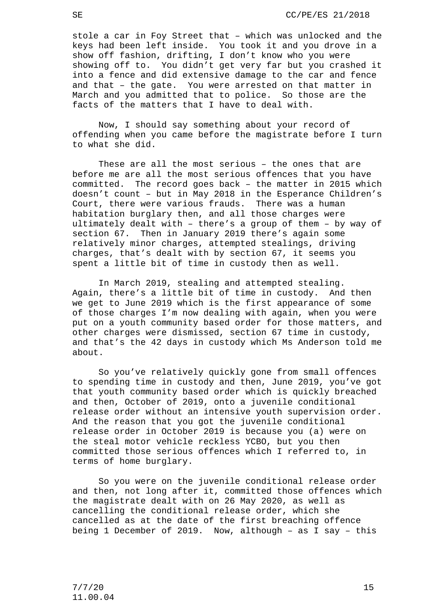stole a car in Foy Street that – which was unlocked and the keys had been left inside. You took it and you drove in a show off fashion, drifting, I don't know who you were showing off to. You didn't get very far but you crashed it into a fence and did extensive damage to the car and fence and that – the gate. You were arrested on that matter in March and you admitted that to police. So those are the facts of the matters that I have to deal with.

Now, I should say something about your record of offending when you came before the magistrate before I turn to what she did.

These are all the most serious – the ones that are before me are all the most serious offences that you have committed. The record goes back – the matter in 2015 which doesn't count – but in May 2018 in the Esperance Children's Court, there were various frauds. There was a human habitation burglary then, and all those charges were ultimately dealt with – there's a group of them – by way of section 67. Then in January 2019 there's again some relatively minor charges, attempted stealings, driving charges, that's dealt with by section 67, it seems you spent a little bit of time in custody then as well.

In March 2019, stealing and attempted stealing. Again, there's a little bit of time in custody. And then we get to June 2019 which is the first appearance of some of those charges I'm now dealing with again, when you were put on a youth community based order for those matters, and other charges were dismissed, section 67 time in custody, and that's the 42 days in custody which Ms Anderson told me about.

So you've relatively quickly gone from small offences to spending time in custody and then, June 2019, you've got that youth community based order which is quickly breached and then, October of 2019, onto a juvenile conditional release order without an intensive youth supervision order. And the reason that you got the juvenile conditional release order in October 2019 is because you (a) were on the steal motor vehicle reckless YCBO, but you then committed those serious offences which I referred to, in terms of home burglary.

So you were on the juvenile conditional release order and then, not long after it, committed those offences which the magistrate dealt with on 26 May 2020, as well as cancelling the conditional release order, which she cancelled as at the date of the first breaching offence being 1 December of 2019. Now, although – as I say – this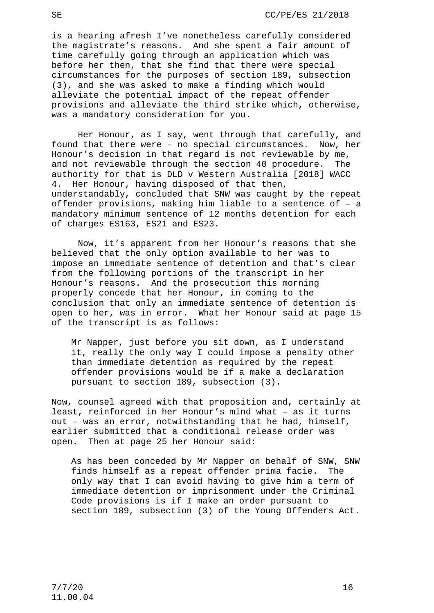is a hearing afresh I've nonetheless carefully considered the magistrate's reasons. And she spent a fair amount of time carefully going through an application which was before her then, that she find that there were special circumstances for the purposes of section 189, subsection (3), and she was asked to make a finding which would alleviate the potential impact of the repeat offender provisions and alleviate the third strike which, otherwise, was a mandatory consideration for you.

Her Honour, as I say, went through that carefully, and found that there were – no special circumstances. Now, her Honour's decision in that regard is not reviewable by me, and not reviewable through the section 40 procedure. The authority for that is DLD v Western Australia [2018] WACC 4. Her Honour, having disposed of that then, understandably, concluded that SNW was caught by the repeat offender provisions, making him liable to a sentence of – a mandatory minimum sentence of 12 months detention for each of charges ES163, ES21 and ES23.

Now, it's apparent from her Honour's reasons that she believed that the only option available to her was to impose an immediate sentence of detention and that's clear from the following portions of the transcript in her Honour's reasons. And the prosecution this morning properly concede that her Honour, in coming to the conclusion that only an immediate sentence of detention is open to her, was in error. What her Honour said at page 15 of the transcript is as follows:

Mr Napper, just before you sit down, as I understand it, really the only way I could impose a penalty other than immediate detention as required by the repeat offender provisions would be if a make a declaration pursuant to section 189, subsection (3).

Now, counsel agreed with that proposition and, certainly at least, reinforced in her Honour's mind what – as it turns out – was an error, notwithstanding that he had, himself, earlier submitted that a conditional release order was open. Then at page 25 her Honour said:

As has been conceded by Mr Napper on behalf of SNW, SNW finds himself as a repeat offender prima facie. The only way that I can avoid having to give him a term of immediate detention or imprisonment under the Criminal Code provisions is if I make an order pursuant to section 189, subsection (3) of the Young Offenders Act.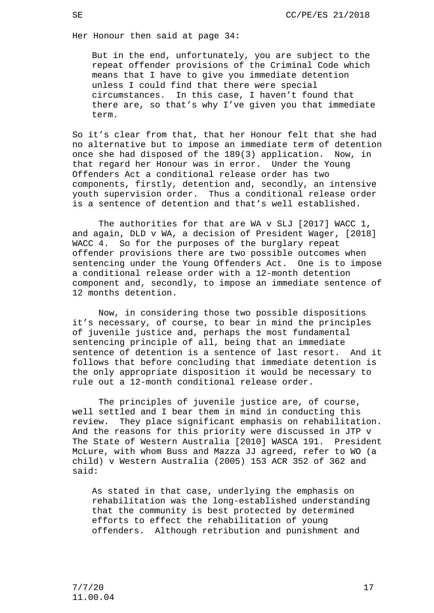Her Honour then said at page 34:

But in the end, unfortunately, you are subject to the repeat offender provisions of the Criminal Code which means that I have to give you immediate detention unless I could find that there were special circumstances. In this case, I haven't found that there are, so that's why I've given you that immediate term.

So it's clear from that, that her Honour felt that she had no alternative but to impose an immediate term of detention once she had disposed of the 189(3) application. Now, in that regard her Honour was in error. Under the Young Offenders Act a conditional release order has two components, firstly, detention and, secondly, an intensive youth supervision order. Thus a conditional release order is a sentence of detention and that's well established.

The authorities for that are WA v SLJ [2017] WACC 1, and again, DLD v WA, a decision of President Wager, [2018] WACC 4. So for the purposes of the burglary repeat offender provisions there are two possible outcomes when sentencing under the Young Offenders Act. One is to impose a conditional release order with a 12-month detention component and, secondly, to impose an immediate sentence of 12 months detention.

Now, in considering those two possible dispositions it's necessary, of course, to bear in mind the principles of juvenile justice and, perhaps the most fundamental sentencing principle of all, being that an immediate sentence of detention is a sentence of last resort. And it follows that before concluding that immediate detention is the only appropriate disposition it would be necessary to rule out a 12-month conditional release order.

The principles of juvenile justice are, of course, well settled and I bear them in mind in conducting this review. They place significant emphasis on rehabilitation. And the reasons for this priority were discussed in JTP v The State of Western Australia [2010] WASCA 191. President McLure, with whom Buss and Mazza JJ agreed, refer to WO (a child) v Western Australia (2005) 153 ACR 352 of 362 and said:

As stated in that case, underlying the emphasis on rehabilitation was the long-established understanding that the community is best protected by determined efforts to effect the rehabilitation of young offenders. Although retribution and punishment and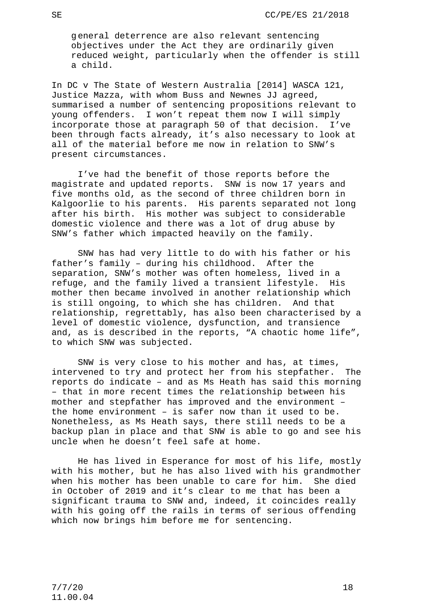general deterrence are also relevant sentencing objectives under the Act they are ordinarily given reduced weight, particularly when the offender is still a child.

In DC v The State of Western Australia [2014] WASCA 121, Justice Mazza, with whom Buss and Newnes JJ agreed, summarised a number of sentencing propositions relevant to young offenders. I won't repeat them now I will simply incorporate those at paragraph 50 of that decision. I've been through facts already, it's also necessary to look at all of the material before me now in relation to SNW's present circumstances.

I've had the benefit of those reports before the magistrate and updated reports. SNW is now 17 years and five months old, as the second of three children born in Kalgoorlie to his parents. His parents separated not long after his birth. His mother was subject to considerable domestic violence and there was a lot of drug abuse by SNW's father which impacted heavily on the family.

SNW has had very little to do with his father or his father's family – during his childhood. After the separation, SNW's mother was often homeless, lived in a refuge, and the family lived a transient lifestyle. His mother then became involved in another relationship which is still ongoing, to which she has children. And that relationship, regrettably, has also been characterised by a level of domestic violence, dysfunction, and transience and, as is described in the reports, "A chaotic home life", to which SNW was subjected.

SNW is very close to his mother and has, at times, intervened to try and protect her from his stepfather. The reports do indicate – and as Ms Heath has said this morning – that in more recent times the relationship between his mother and stepfather has improved and the environment – the home environment – is safer now than it used to be. Nonetheless, as Ms Heath says, there still needs to be a backup plan in place and that SNW is able to go and see his uncle when he doesn't feel safe at home.

He has lived in Esperance for most of his life, mostly with his mother, but he has also lived with his grandmother<br>when his mother has been unable to care for him. She died when his mother has been unable to care for him. in October of 2019 and it's clear to me that has been a significant trauma to SNW and, indeed, it coincides really with his going off the rails in terms of serious offending which now brings him before me for sentencing.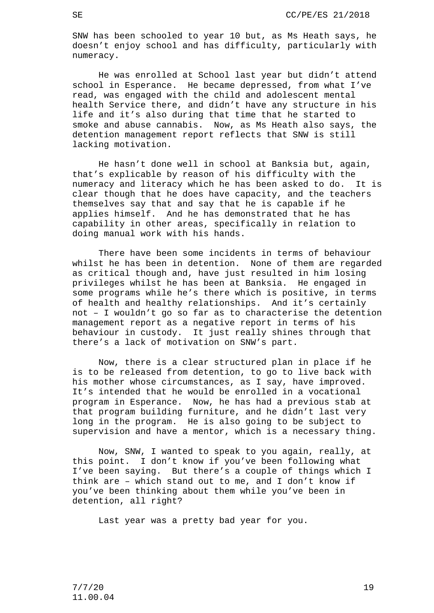SNW has been schooled to year 10 but, as Ms Heath says, he doesn't enjoy school and has difficulty, particularly with numeracy.

He was enrolled at School last year but didn't attend school in Esperance. He became depressed, from what I've read, was engaged with the child and adolescent mental health Service there, and didn't have any structure in his life and it's also during that time that he started to smoke and abuse cannabis. Now, as Ms Heath also says, the detention management report reflects that SNW is still lacking motivation.

He hasn't done well in school at Banksia but, again, that's explicable by reason of his difficulty with the numeracy and literacy which he has been asked to do. It is clear though that he does have capacity, and the teachers themselves say that and say that he is capable if he applies himself. And he has demonstrated that he has capability in other areas, specifically in relation to doing manual work with his hands.

There have been some incidents in terms of behaviour whilst he has been in detention. None of them are regarded as critical though and, have just resulted in him losing privileges whilst he has been at Banksia. He engaged in some programs while he's there which is positive, in terms of health and healthy relationships. And it's certainly not – I wouldn't go so far as to characterise the detention management report as a negative report in terms of his behaviour in custody. It just really shines through that there's a lack of motivation on SNW's part.

Now, there is a clear structured plan in place if he is to be released from detention, to go to live back with his mother whose circumstances, as I say, have improved. It's intended that he would be enrolled in a vocational program in Esperance. Now, he has had a previous stab at that program building furniture, and he didn't last very long in the program. He is also going to be subject to supervision and have a mentor, which is a necessary thing.

Now, SNW, I wanted to speak to you again, really, at this point. I don't know if you've been following what I've been saying. But there's a couple of things which I think are – which stand out to me, and I don't know if you've been thinking about them while you've been in detention, all right?

Last year was a pretty bad year for you.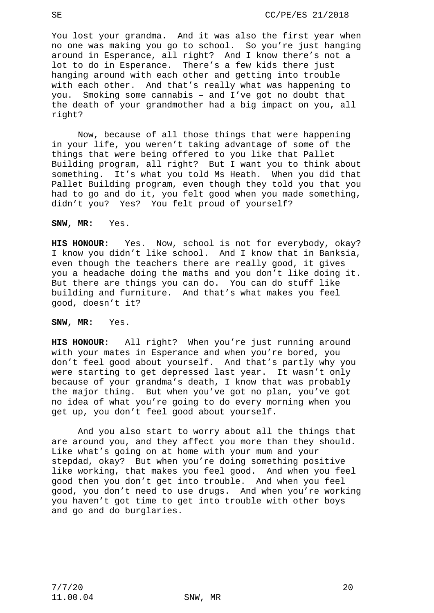You lost your grandma. And it was also the first year when no one was making you go to school. So you're just hanging around in Esperance, all right? And I know there's not a lot to do in Esperance. There's a few kids there just hanging around with each other and getting into trouble with each other. And that's really what was happening to you. Smoking some cannabis – and I've got no doubt that the death of your grandmother had a big impact on you, all right?

Now, because of all those things that were happening in your life, you weren't taking advantage of some of the things that were being offered to you like that Pallet Building program, all right? But I want you to think about something. It's what you told Ms Heath. When you did that Pallet Building program, even though they told you that you had to go and do it, you felt good when you made something, didn't you? Yes? You felt proud of yourself?

**SNW, MR:** Yes.

**HIS HONOUR:** Yes. Now, school is not for everybody, okay? I know you didn't like school. And I know that in Banksia, even though the teachers there are really good, it gives you a headache doing the maths and you don't like doing it. But there are things you can do. You can do stuff like building and furniture. And that's what makes you feel good, doesn't it?

**SNW, MR:** Yes.

**HIS HONOUR:** All right? When you're just running around with your mates in Esperance and when you're bored, you don't feel good about yourself. And that's partly why you were starting to get depressed last year. It wasn't only because of your grandma's death, I know that was probably the major thing. But when you've got no plan, you've got no idea of what you're going to do every morning when you get up, you don't feel good about yourself.

And you also start to worry about all the things that are around you, and they affect you more than they should. Like what's going on at home with your mum and your stepdad, okay? But when you're doing something positive like working, that makes you feel good. And when you feel good then you don't get into trouble. And when you feel good, you don't need to use drugs. And when you're working you haven't got time to get into trouble with other boys and go and do burglaries.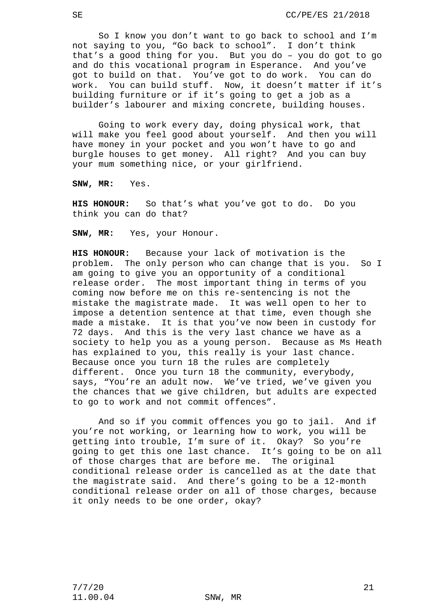So I know you don't want to go back to school and I'm not saying to you, "Go back to school". I don't think that's a good thing for you. But you do – you do got to go and do this vocational program in Esperance. And you've got to build on that. You've got to do work. You can do work. You can build stuff. Now, it doesn't matter if it's building furniture or if it's going to get a job as a builder's labourer and mixing concrete, building houses.

Going to work every day, doing physical work, that will make you feel good about yourself. And then you will have money in your pocket and you won't have to go and burgle houses to get money. All right? And you can buy your mum something nice, or your girlfriend.

**SNW, MR:** Yes.

**HIS HONOUR:** So that's what you've got to do. Do you think you can do that?

**SNW, MR:** Yes, your Honour.

**HIS HONOUR:** Because your lack of motivation is the problem. The only person who can change that is you. So I am going to give you an opportunity of a conditional release order. The most important thing in terms of you coming now before me on this re-sentencing is not the mistake the magistrate made. It was well open to her to impose a detention sentence at that time, even though she made a mistake. It is that you've now been in custody for 72 days. And this is the very last chance we have as a society to help you as a young person. Because as Ms Heath has explained to you, this really is your last chance. Because once you turn 18 the rules are completely different. Once you turn 18 the community, everybody, says, "You're an adult now. We've tried, we've given you the chances that we give children, but adults are expected to go to work and not commit offences".

And so if you commit offences you go to jail. And if you're not working, or learning how to work, you will be getting into trouble, I'm sure of it. Okay? So you're going to get this one last chance. It's going to be on all of those charges that are before me. The original conditional release order is cancelled as at the date that the magistrate said. And there's going to be a 12-month conditional release order on all of those charges, because it only needs to be one order, okay?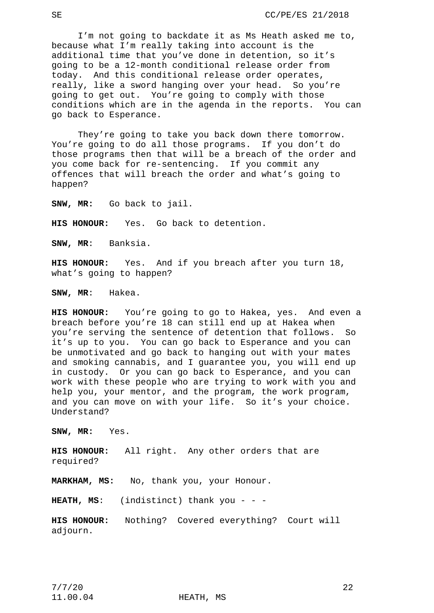I'm not going to backdate it as Ms Heath asked me to, because what I'm really taking into account is the additional time that you've done in detention, so it's going to be a 12-month conditional release order from today. And this conditional release order operates, really, like a sword hanging over your head. So you're going to get out. You're going to comply with those conditions which are in the agenda in the reports. You can go back to Esperance.

They're going to take you back down there tomorrow. You're going to do all those programs. If you don't do those programs then that will be a breach of the order and you come back for re-sentencing. If you commit any offences that will breach the order and what's going to happen?

**SNW, MR:** Go back to jail.

**HIS HONOUR:** Yes. Go back to detention.

**SNW, MR**: Banksia.

**HIS HONOUR:** Yes. And if you breach after you turn 18, what's going to happen?

**SNW, MR**: Hakea.

**HIS HONOUR:** You're going to go to Hakea, yes. And even a breach before you're 18 can still end up at Hakea when you're serving the sentence of detention that follows. So it's up to you. You can go back to Esperance and you can be unmotivated and go back to hanging out with your mates and smoking cannabis, and I guarantee you, you will end up in custody. Or you can go back to Esperance, and you can work with these people who are trying to work with you and help you, your mentor, and the program, the work program, and you can move on with your life. So it's your choice. Understand?

**SNW, MR:** Yes.

**HIS HONOUR:** All right. Any other orders that are required?

**MARKHAM, MS:** No, thank you, your Honour.

**HEATH, MS**: (indistinct) thank you - - -

**HIS HONOUR:** Nothing? Covered everything? Court will adjourn.

11.00.04 HEATH, MS